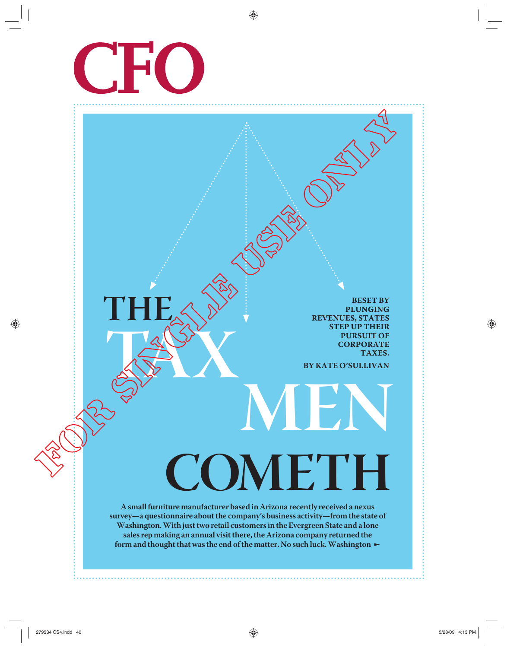

**TAX** 

**THE**

**BESET BY PLUNGING REVENUES, STATES STEP UP THEIR PURSUIT OF CORPORATE TAXES.**

**BY KATE O'SULLIVAN**

**MEN**

**A small furniture manufacturer based in Arizona recently received a nexus survey—a questionnaire about the company's business activity—from the state of Washington. With just two retail customers in the Evergreen State and a lone sales rep making an annual visit there, the Arizona company returned the**  form and thought that was the end of the matter. No such luck. Washington  $\blacktriangleright$ 

**COMETH**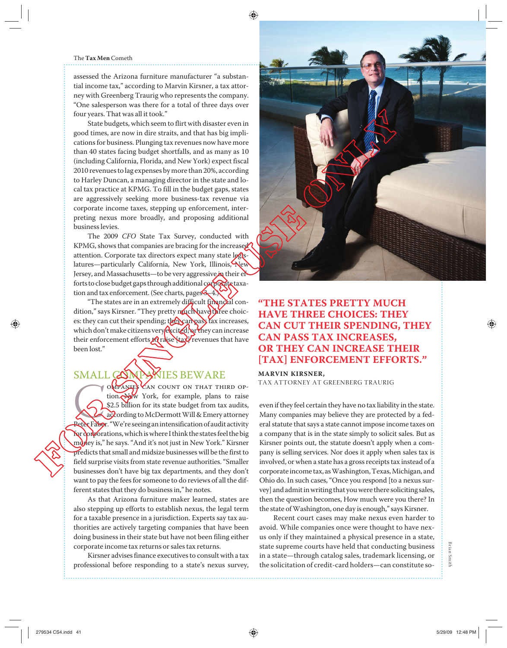#### The **Tax Men** Cometh

assessed the Arizona furniture manufacturer "a substantial income tax," according to Marvin Kirsner, a tax attorney with Greenberg Traurig who represents the company. "One salesperson was there for a total of three days over four years. That was all it took."

State budgets, which seem to flirt with disaster even in good times, are now in dire straits, and that has big implications for business. Plunging tax revenues now have more than 40 states facing budget shortfalls, and as many as 10 (including California, Florida, and New York) expect fiscal 2010 revenues to lag expenses by more than 20%, according to Harley Duncan, a managing director in the state and local tax practice at KPMG. To fill in the budget gaps, states are aggressively seeking more business-tax revenue via corporate income taxes, stepping up enforcement, interpreting nexus more broadly, and proposing additional business levies.

The 2009 *CFO* State Tax Survey, conducted with KPMG, shows that companies are bracing for the increased attention. Corporate tax directors expect many state legislatures—particularly California, New York, Illinois, New Jersey, and Massachusetts—to be very aggressive in their efforts to close budget gaps through additional corporate taxation and tax enforcement. (See charts, pages 3–4.)

"The states are in an extremely difficult financial condition," says Kirsner. "They pretty much have three choices: they can cut their spending; they can pass tax increases, which don't make citizens very excited; or they can increase their enforcement efforts to raise [tax] revenues that have been lost."

### SMALL COMPANIES BEWARE

COMPANIES CAN COUNT ON THAT THIRD OP-<br>
fion. New York, for example, plans to raise<br>
\$2.5 billion for its state budget from tax audits,<br>
according to McDermott Will & Emery attorney<br>
Peter Faber. "We're seeing an intensific tion. New York, for example, plans to raise \$2.5 billion for its state budget from tax audits, according to McDermott Will & Emery attorney for corporations, which is where I think the states feel the big money is," he says. "And it's not just in New York." Kirsner predicts that small and midsize businesses will be the first to field surprise visits from state revenue authorities. "Smaller businesses don't have big tax departments, and they don't want to pay the fees for someone to do reviews of all the different states that they do business in," he notes.

As that Arizona furniture maker learned, states are also stepping up efforts to establish nexus, the legal term for a taxable presence in a jurisdiction. Experts say tax authorities are actively targeting companies that have been doing business in their state but have not been filing either corporate income tax returns or sales tax returns.

Kirsner advises finance executives to consult with a tax professional before responding to a state's nexus survey,



# **"THE STATES PRETTY MUCH HAVE THREE CHOICES: THEY CAN CUT THEIR SPENDING, THEY CAN PASS TAX INCREASES, OR THEY CAN INCREASE THEIR**  [TAX] ENFORCEMENT EFFORTS."

#### **MARVIN KIRSNER,**

TAX ATTORNEY AT GREENBERG TRAURIG

even if they feel certain they have no tax liability in the state. Many companies may believe they are protected by a federal statute that says a state cannot impose income taxes on a company that is in the state simply to solicit sales. But as Kirsner points out, the statute doesn't apply when a company is selling services. Nor does it apply when sales tax is involved, or when a state has a gross receipts tax instead of a corporate income tax, as Washington, Texas, Michigan, and Ohio do. In such cases, "Once you respond [to a nexus survey] and admit in writing that you were there soliciting sales, then the question becomes, How much were you there? In the state of Washington, one day is enough," says Kirsner.

Recent court cases may make nexus even harder to avoid. While companies once were thought to have nexus only if they maintained a physical presence in a state, state supreme courts have held that conducting business in a state—through catalog sales, trademark licensing, or the solicitation of credit-card holders—can constitute so-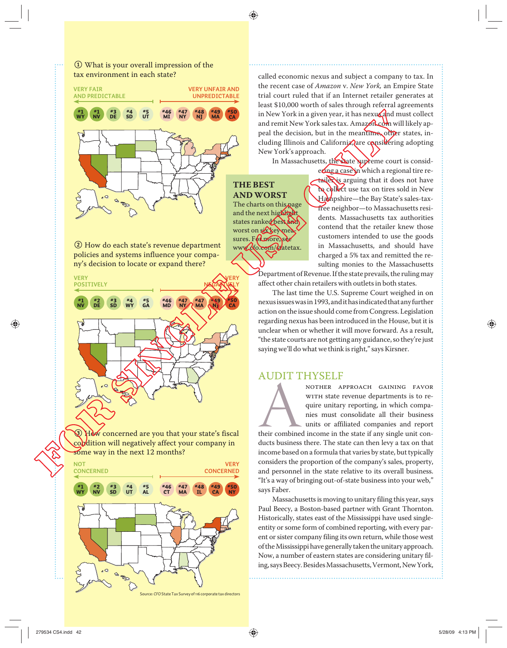### 1 What is your overall impression of the tax environment in each state?



2 How do each state's revenue department policies and systems influence your company's decision to locate or expand there?



3 How concerned are you that your state's fiscal condition will negatively affect your company in some way in the next 12 months?



called economic nexus and subject a company to tax. In the recent case of *Amazon* v. *New York,* an Empire State trial court ruled that if an Internet retailer generates at least \$10,000 worth of sales through referral agreements in New York in a given year, it has nexus and must collect and remit New York sales tax. Amazon.com will likely appeal the decision, but in the meantime, other states, including Illinois and California, are considering adopting New York's approach.

In Massachusetts, the state supreme court is consid-

#### **THE BEST AND WORST**

The charts on this page and the next highlight states ranked best and worst on six key measures. For more, see www.cfo.com/statetax.

ering a case in which a regional tire retailer is arguing that it does not have to collect use tax on tires sold in New Hampshire—the Bay State's sales-taxfree neighbor—to Massachusetts residents. Massachusetts tax authorities contend that the retailer knew those customers intended to use the goods in Massachusetts, and should have charged a 5% tax and remitted the resulting monies to the Massachusetts

Department of Revenue. If the state prevails, the ruling may affect other chain retailers with outlets in both states.

The last time the U.S. Supreme Court weighed in on nexus issues was in 1993, and it has indicated that any further action on the issue should come from Congress. Legislation regarding nexus has been introduced in the House, but it is unclear when or whether it will move forward. As a result, "the state courts are not getting any guidance, so they're just saying we'll do what we think is right," says Kirsner.

## AUDIT THYSELF

NOTHER APPROACH GAINING FAVOR<br>
WITH state revenue departments is to require unitary reporting, in which compa-<br>
nies must consolidate all their business<br>
units or affiliated companies and report<br>
their combined income in t with state revenue departments is to require unitary reporting, in which companies must consolidate all their business units or affiliated companies and report ducts business there. The state can then levy a tax on that income based on a formula that varies by state, but typically considers the proportion of the company's sales, property, and personnel in the state relative to its overall business. "It's a way of bringing out-of-state business into your web," says Faber.

Massachusetts is moving to unitary filing this year, says Paul Beecy, a Boston-based partner with Grant Thornton. Historically, states east of the Mississippi have used singleentity or some form of combined reporting, with every parent or sister company filing its own return, while those west of the Mississippi have generally taken the unitary approach. Now, a number of eastern states are considering unitary filing, says Beecy. Besides Massachusetts, Vermont, New York,